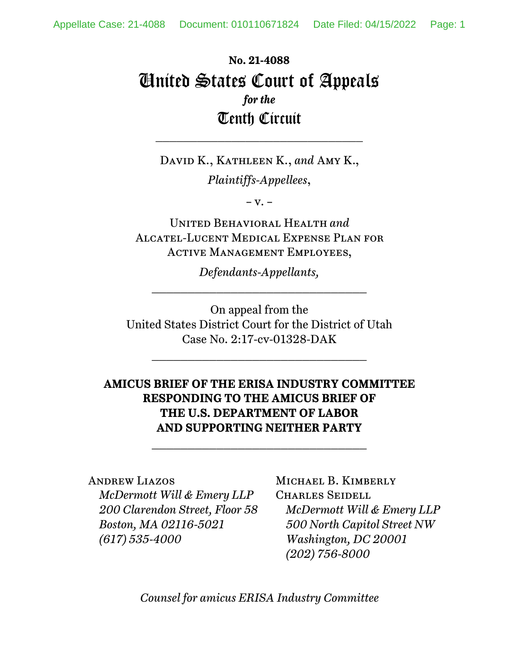# **No. 21-4088**  United States Court of Appeals *for the*  Tenth Circuit

David K., Kathleen K., *and* Amy K.,

\_\_\_\_\_\_\_\_\_\_\_\_\_\_\_\_\_\_\_\_\_\_\_\_\_\_\_\_\_\_

*Plaintiffs-Appellees*,

 $-V. -$ 

United Behavioral Health *and* Alcatel-Lucent Medical Expense Plan for Active Management Employees,

*Defendants-Appellants,*   $\overline{\phantom{a}}$  , where  $\overline{\phantom{a}}$  , where  $\overline{\phantom{a}}$  , where  $\overline{\phantom{a}}$  , where  $\overline{\phantom{a}}$ 

On appeal from the United States District Court for the District of Utah Case No. 2:17-cv-01328-DAK

 $\mathcal{L}_\text{max}$ 

# **AMICUS BRIEF OF THE ERISA INDUSTRY COMMITTEE RESPONDING TO THE AMICUS BRIEF OF THE U.S. DEPARTMENT OF LABOR AND SUPPORTING NEITHER PARTY**

 $\mathcal{L}_\text{max}$ 

# Andrew Liazos *McDermott Will & Emery LLP 200 Clarendon Street, Floor 58 Boston, MA 02116-5021 (617) 535-4000*

# MICHAEL B. KIMBERLY

Charles Seidell *McDermott Will & Emery LLP 500 North Capitol Street NW Washington, DC 20001 (202) 756-8000* 

*Counsel for amicus ERISA Industry Committee*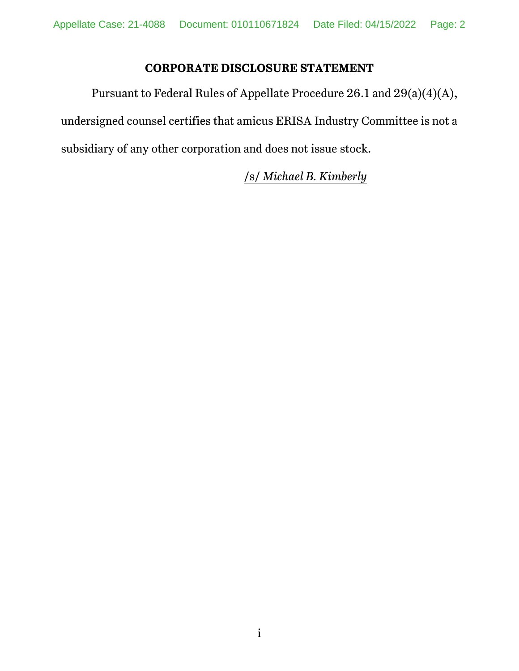## **CORPORATE DISCLOSURE STATEMENT**

Pursuant to Federal Rules of Appellate Procedure 26.1 and 29(a)(4)(A), undersigned counsel certifies that amicus ERISA Industry Committee is not a subsidiary of any other corporation and does not issue stock.

/s/ *Michael B. Kimberly*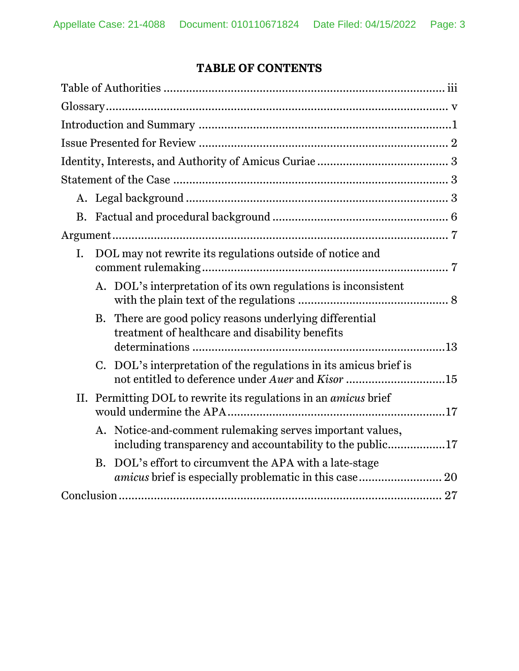# **TABLE OF CONTENTS**

| Ι. | DOL may not rewrite its regulations outside of notice and                                                              |  |  |  |
|----|------------------------------------------------------------------------------------------------------------------------|--|--|--|
|    | A. DOL's interpretation of its own regulations is inconsistent                                                         |  |  |  |
|    | There are good policy reasons underlying differential<br>B.<br>treatment of healthcare and disability benefits         |  |  |  |
|    | C. DOL's interpretation of the regulations in its amicus brief is<br>not entitled to deference under Auer and Kisor 15 |  |  |  |
|    | II. Permitting DOL to rewrite its regulations in an <i>amicus</i> brief                                                |  |  |  |
|    | A. Notice-and-comment rulemaking serves important values,<br>including transparency and accountability to the public17 |  |  |  |
|    | DOL's effort to circumvent the APA with a late-stage<br><b>B.</b>                                                      |  |  |  |
|    |                                                                                                                        |  |  |  |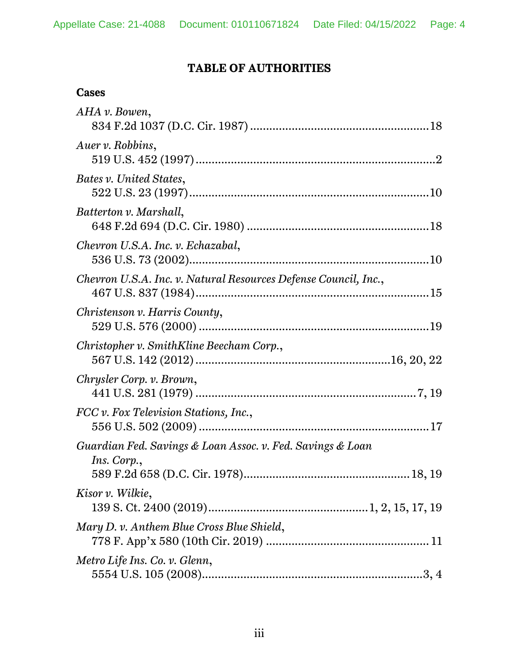# **TABLE OF AUTHORITIES**

| AHA v. Bowen,                                                             |
|---------------------------------------------------------------------------|
| Auer v. Robbins,                                                          |
| Bates v. United States,                                                   |
| Batterton v. Marshall,                                                    |
| Chevron U.S.A. Inc. v. Echazabal,                                         |
| Chevron U.S.A. Inc. v. Natural Resources Defense Council, Inc.,           |
| Christenson v. Harris County,                                             |
| Christopher v. SmithKline Beecham Corp.,                                  |
| Chrysler Corp. v. Brown,                                                  |
| FCC v. Fox Television Stations, Inc.,                                     |
| Guardian Fed. Savings & Loan Assoc. v. Fed. Savings & Loan<br>Ins. Corp., |
| Kisor v. Wilkie,                                                          |
| Mary D. v. Anthem Blue Cross Blue Shield,                                 |
| Metro Life Ins. Co. v. Glenn,                                             |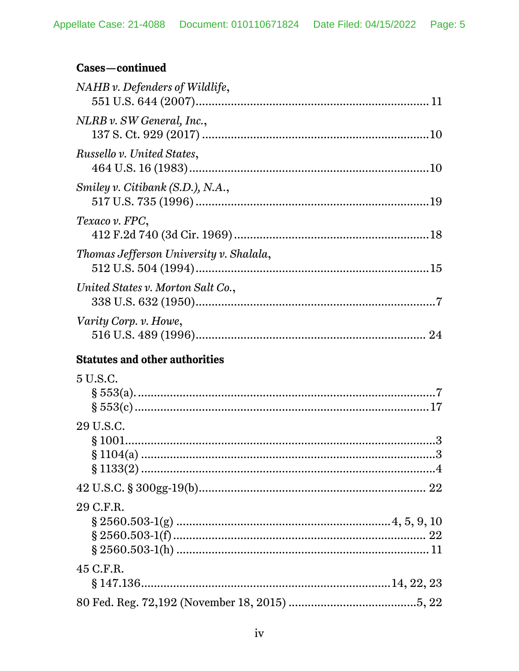# Cases-continued

| $NAHB$ v. Defenders of Wildlife,        |  |
|-----------------------------------------|--|
| NLRB v. SW General, Inc.,               |  |
| Russello v. United States,              |  |
| Smiley v. Citibank (S.D.), N.A.,        |  |
| Texaco v. FPC,                          |  |
| Thomas Jefferson University v. Shalala, |  |
| United States v. Morton Salt Co.,       |  |
| Varity Corp. v. Howe,                   |  |
| <b>Statutes and other authorities</b>   |  |
| 5 U.S.C.                                |  |
|                                         |  |
| 29 U.S.C.                               |  |
|                                         |  |
|                                         |  |
|                                         |  |
|                                         |  |
| 29 C.F.R.                               |  |
|                                         |  |
|                                         |  |
|                                         |  |
| 45 C.F.R.                               |  |
|                                         |  |
|                                         |  |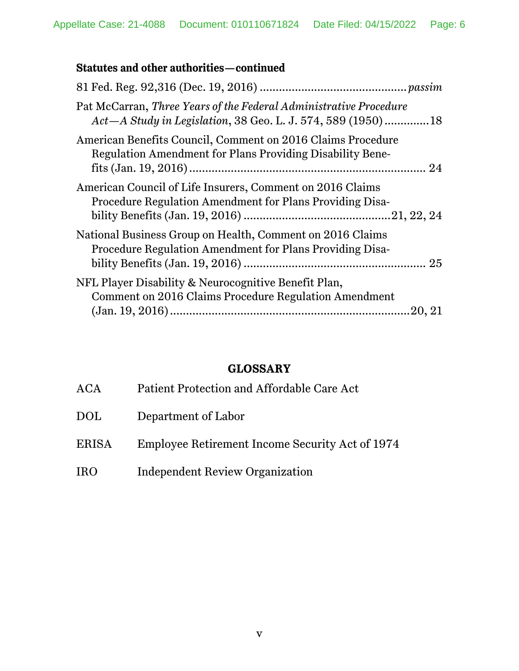# **Statutes and other authorities—continued**

| Pat McCarran, Three Years of the Federal Administrative Procedure<br>Act - A Study in Legislation, 38 Geo. L. J. 574, 589 (1950)18 |  |
|------------------------------------------------------------------------------------------------------------------------------------|--|
| American Benefits Council, Comment on 2016 Claims Procedure<br><b>Regulation Amendment for Plans Providing Disability Bene-</b>    |  |
| American Council of Life Insurers, Comment on 2016 Claims<br>Procedure Regulation Amendment for Plans Providing Disa-              |  |
| National Business Group on Health, Comment on 2016 Claims<br>Procedure Regulation Amendment for Plans Providing Disa-              |  |
| NFL Player Disability & Neurocognitive Benefit Plan,<br>Comment on 2016 Claims Procedure Regulation Amendment<br>20, 21            |  |

## **GLOSSARY**

| <b>ACA</b> | Patient Protection and Affordable Care Act      |
|------------|-------------------------------------------------|
| <b>DOL</b> | Department of Labor                             |
| ERISA      | Employee Retirement Income Security Act of 1974 |
| <b>IRO</b> | Independent Review Organization                 |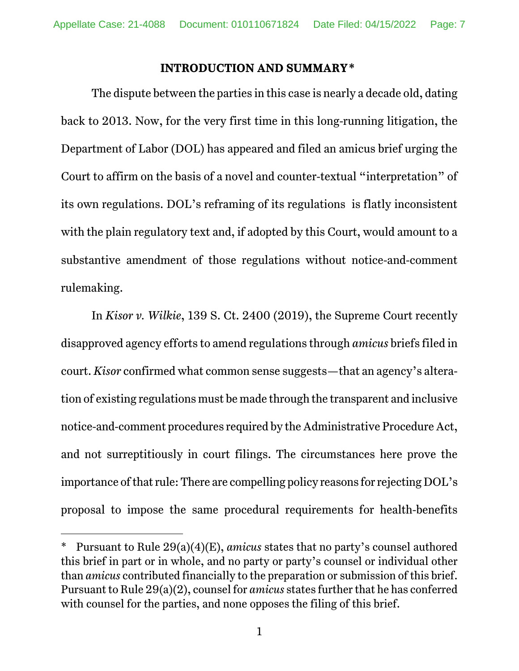#### **INTRODUCTION AND SUMMARY\***

The dispute between the parties in this case is nearly a decade old, dating back to 2013. Now, for the very first time in this long-running litigation, the Department of Labor (DOL) has appeared and filed an amicus brief urging the Court to affirm on the basis of a novel and counter-textual "interpretation" of its own regulations. DOL's reframing of its regulations is flatly inconsistent with the plain regulatory text and, if adopted by this Court, would amount to a substantive amendment of those regulations without notice-and-comment rulemaking.

In *Kisor v. Wilkie*, 139 S. Ct. 2400 (2019), the Supreme Court recently disapproved agency efforts to amend regulations through *amicus* briefs filed in court. *Kisor* confirmed what common sense suggests—that an agency's alteration of existing regulations must be made through the transparent and inclusive notice-and-comment procedures required by the Administrative Procedure Act, and not surreptitiously in court filings. The circumstances here prove the importance of that rule: There are compelling policy reasons for rejecting DOL's proposal to impose the same procedural requirements for health-benefits

<sup>\*1</sup> Pursuant to Rule 29(a)(4)(E), *amicus* states that no party's counsel authored this brief in part or in whole, and no party or party's counsel or individual other than *amicus* contributed financially to the preparation or submission of this brief. Pursuant to Rule 29(a)(2), counsel for *amicus* states further that he has conferred with counsel for the parties, and none opposes the filing of this brief.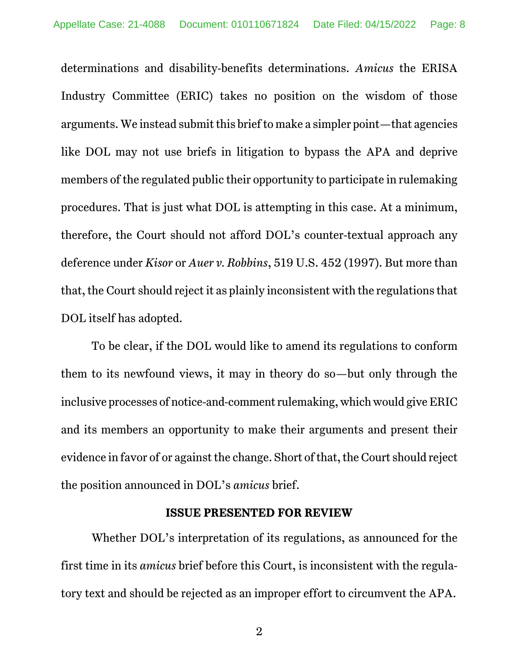determinations and disability-benefits determinations. *Amicus* the ERISA Industry Committee (ERIC) takes no position on the wisdom of those arguments. We instead submit this brief to make a simpler point—that agencies like DOL may not use briefs in litigation to bypass the APA and deprive members of the regulated public their opportunity to participate in rulemaking procedures. That is just what DOL is attempting in this case. At a minimum, therefore, the Court should not afford DOL's counter-textual approach any deference under *Kisor* or *Auer v. Robbins*, 519 U.S. 452 (1997). But more than that, the Court should reject it as plainly inconsistent with the regulations that DOL itself has adopted.

To be clear, if the DOL would like to amend its regulations to conform them to its newfound views, it may in theory do so—but only through the inclusive processes of notice-and-comment rulemaking, which would give ERIC and its members an opportunity to make their arguments and present their evidence in favor of or against the change. Short of that, the Court should reject the position announced in DOL's *amicus* brief.

#### **ISSUE PRESENTED FOR REVIEW**

Whether DOL's interpretation of its regulations, as announced for the first time in its *amicus* brief before this Court, is inconsistent with the regulatory text and should be rejected as an improper effort to circumvent the APA.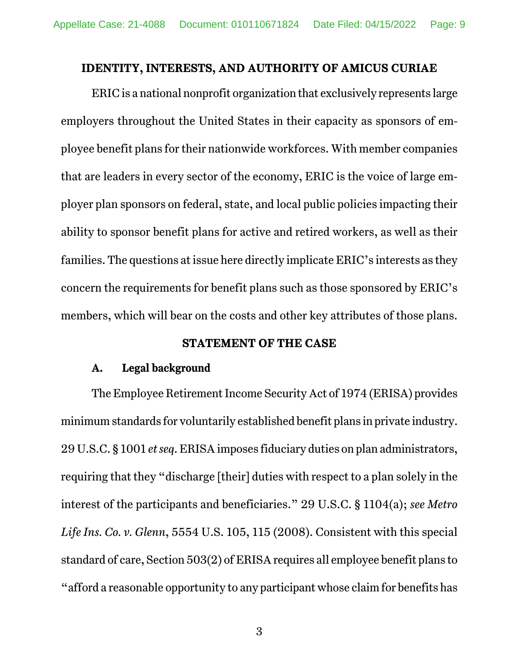#### **IDENTITY, INTERESTS, AND AUTHORITY OF AMICUS CURIAE**

ERIC is a national nonprofit organization that exclusively represents large employers throughout the United States in their capacity as sponsors of employee benefit plans for their nationwide workforces. With member companies that are leaders in every sector of the economy, ERIC is the voice of large employer plan sponsors on federal, state, and local public policies impacting their ability to sponsor benefit plans for active and retired workers, as well as their families. The questions at issue here directly implicate ERIC's interests as they concern the requirements for benefit plans such as those sponsored by ERIC's members, which will bear on the costs and other key attributes of those plans.

#### **STATEMENT OF THE CASE**

#### **A. Legal background**

The Employee Retirement Income Security Act of 1974 (ERISA) provides minimum standards for voluntarily established benefit plans in private industry. 29 U.S.C. § 1001 *et seq*. ERISA imposes fiduciary duties on plan administrators, requiring that they "discharge [their] duties with respect to a plan solely in the interest of the participants and beneficiaries." 29 U.S.C. § 1104(a); *see Metro Life Ins. Co. v. Glenn*, 5554 U.S. 105, 115 (2008). Consistent with this special standard of care, Section 503(2) of ERISA requires all employee benefit plans to "afford a reasonable opportunity to any participant whose claim for benefits has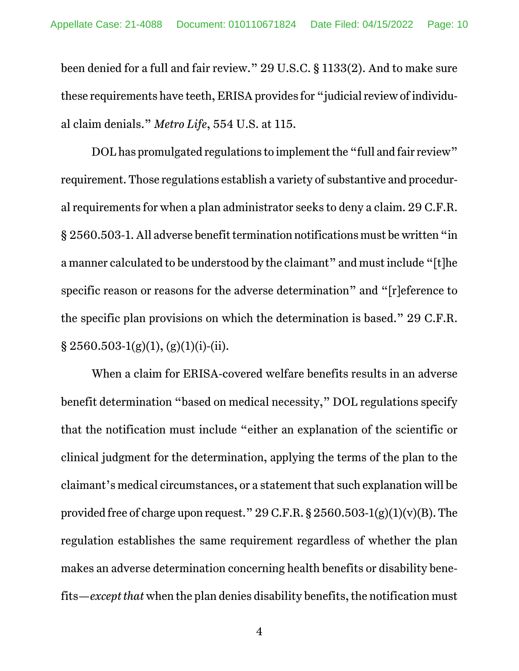been denied for a full and fair review." 29 U.S.C. § 1133(2). And to make sure these requirements have teeth, ERISA provides for "judicial review of individual claim denials." *Metro Life*, 554 U.S. at 115.

DOL has promulgated regulations to implement the "full and fair review" requirement. Those regulations establish a variety of substantive and procedural requirements for when a plan administrator seeks to deny a claim. 29 C.F.R. § 2560.503-1. All adverse benefit termination notifications must be written "in a manner calculated to be understood by the claimant" and must include "[t]he specific reason or reasons for the adverse determination" and "[r]eference to the specific plan provisions on which the determination is based." 29 C.F.R.  $\S 2560.503-1(g)(1), (g)(1)(i)-(ii).$ 

When a claim for ERISA-covered welfare benefits results in an adverse benefit determination "based on medical necessity," DOL regulations specify that the notification must include "either an explanation of the scientific or clinical judgment for the determination, applying the terms of the plan to the claimant's medical circumstances, or a statement that such explanation will be provided free of charge upon request."  $29$  C.F.R. §  $2560.503-1(g)(1)(v)(B)$ . The regulation establishes the same requirement regardless of whether the plan makes an adverse determination concerning health benefits or disability benefits—*except that* when the plan denies disability benefits, the notification must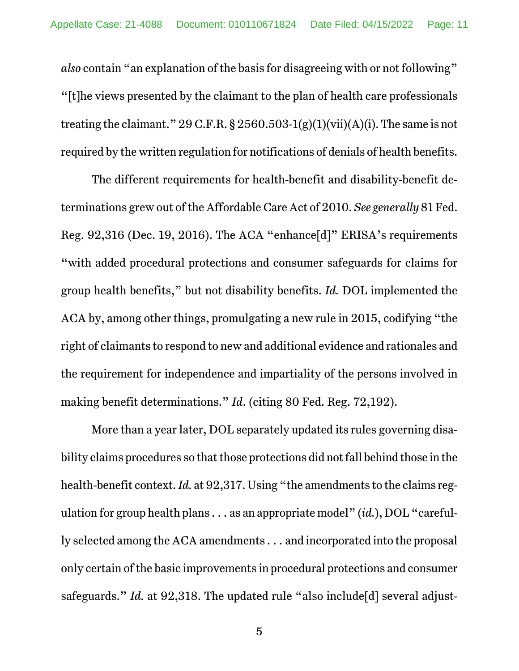*also* contain "an explanation of the basis for disagreeing with or not following" "[t]he views presented by the claimant to the plan of health care professionals treating the claimant." 29 C.F.R. § 2560.503-1(g)(1)(vii)(A)(i). The same is not required by the written regulation for notifications of denials of health benefits.

The different requirements for health-benefit and disability-benefit determinations grew out of the Affordable Care Act of 2010. *See generally* 81 Fed. Reg. 92,316 (Dec. 19, 2016). The ACA "enhance[d]" ERISA's requirements "with added procedural protections and consumer safeguards for claims for group health benefits," but not disability benefits. *Id.* DOL implemented the ACA by, among other things, promulgating a new rule in 2015, codifying "the right of claimants to respond to new and additional evidence and rationales and the requirement for independence and impartiality of the persons involved in making benefit determinations." *Id*. (citing 80 Fed. Reg. 72,192).

More than a year later, DOL separately updated its rules governing disability claims procedures so that those protections did not fall behind those in the health-benefit context. *Id.* at 92,317. Using "the amendments to the claims regulation for group health plans . . . as an appropriate model" (*id.*), DOL "carefully selected among the ACA amendments . . . and incorporated into the proposal only certain of the basic improvements in procedural protections and consumer safeguards." *Id.* at 92,318. The updated rule "also include [d] several adjust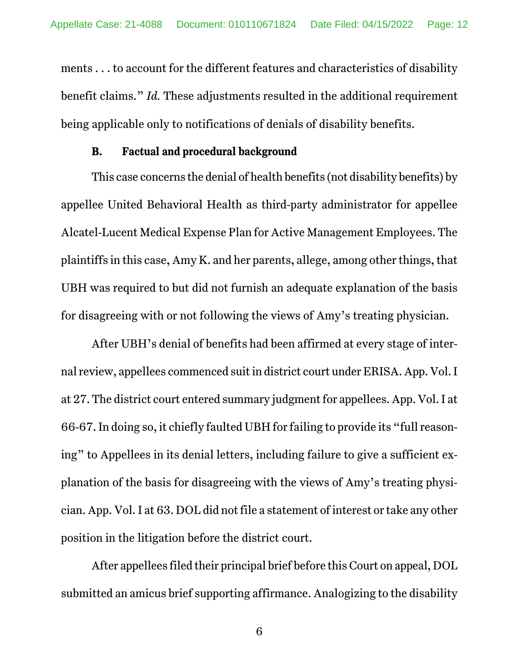ments . . . to account for the different features and characteristics of disability benefit claims." *Id.* These adjustments resulted in the additional requirement being applicable only to notifications of denials of disability benefits.

### **B. Factual and procedural background**

This case concerns the denial of health benefits (not disability benefits) by appellee United Behavioral Health as third-party administrator for appellee Alcatel-Lucent Medical Expense Plan for Active Management Employees. The plaintiffs in this case, Amy K. and her parents, allege, among other things, that UBH was required to but did not furnish an adequate explanation of the basis for disagreeing with or not following the views of Amy's treating physician.

After UBH's denial of benefits had been affirmed at every stage of internal review, appellees commenced suit in district court under ERISA. App. Vol. I at 27. The district court entered summary judgment for appellees. App. Vol. I at 66-67. In doing so, it chiefly faulted UBH for failing to provide its "full reasoning" to Appellees in its denial letters, including failure to give a sufficient explanation of the basis for disagreeing with the views of Amy's treating physician. App. Vol. I at 63. DOL did not file a statement of interest or take any other position in the litigation before the district court.

After appellees filed their principal brief before this Court on appeal, DOL submitted an amicus brief supporting affirmance. Analogizing to the disability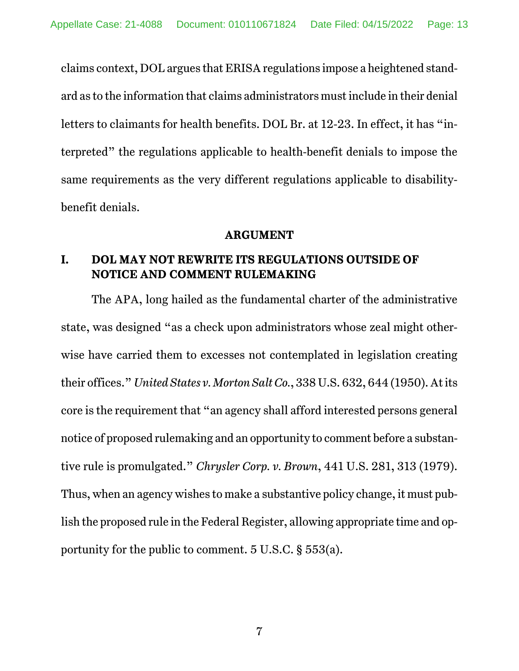claims context, DOL argues that ERISA regulations impose a heightened standard as to the information that claims administrators must include in their denial letters to claimants for health benefits. DOL Br. at 12-23. In effect, it has "interpreted" the regulations applicable to health-benefit denials to impose the same requirements as the very different regulations applicable to disabilitybenefit denials.

#### **ARGUMENT**

# **I. DOL MAY NOT REWRITE ITS REGULATIONS OUTSIDE OF NOTICE AND COMMENT RULEMAKING**

The APA, long hailed as the fundamental charter of the administrative state, was designed "as a check upon administrators whose zeal might otherwise have carried them to excesses not contemplated in legislation creating their offices." *United States v. Morton Salt Co.*, 338 U.S. 632, 644 (1950). At its core is the requirement that "an agency shall afford interested persons general notice of proposed rulemaking and an opportunity to comment before a substantive rule is promulgated." *Chrysler Corp. v. Brown*, 441 U.S. 281, 313 (1979). Thus, when an agency wishes to make a substantive policy change, it must publish the proposed rule in the Federal Register, allowing appropriate time and opportunity for the public to comment. 5 U.S.C. § 553(a).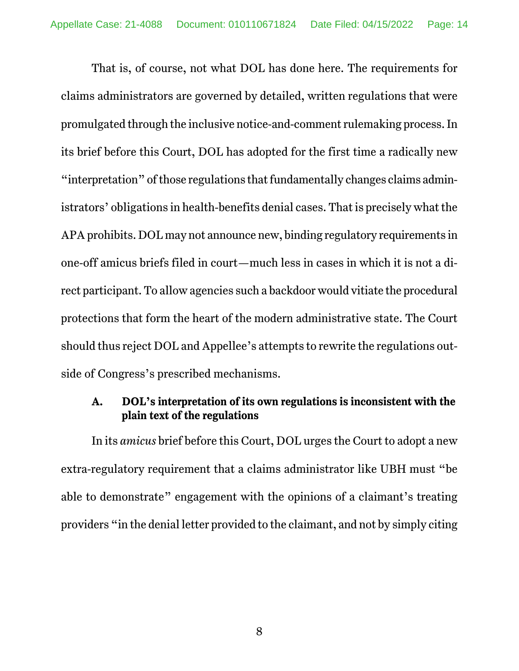That is, of course, not what DOL has done here. The requirements for claims administrators are governed by detailed, written regulations that were promulgated through the inclusive notice-and-comment rulemaking process. In its brief before this Court, DOL has adopted for the first time a radically new "interpretation" of those regulations that fundamentally changes claims administrators' obligations in health-benefits denial cases. That is precisely what the APA prohibits. DOL may not announce new, binding regulatory requirements in one-off amicus briefs filed in court—much less in cases in which it is not a direct participant. To allow agencies such a backdoor would vitiate the procedural protections that form the heart of the modern administrative state. The Court should thus reject DOL and Appellee's attempts to rewrite the regulations outside of Congress's prescribed mechanisms.

## **A. DOL's interpretation of its own regulations is inconsistent with the plain text of the regulations**

In its *amicus* brief before this Court, DOL urges the Court to adopt a new extra-regulatory requirement that a claims administrator like UBH must "be able to demonstrate" engagement with the opinions of a claimant's treating providers "in the denial letter provided to the claimant, and not by simply citing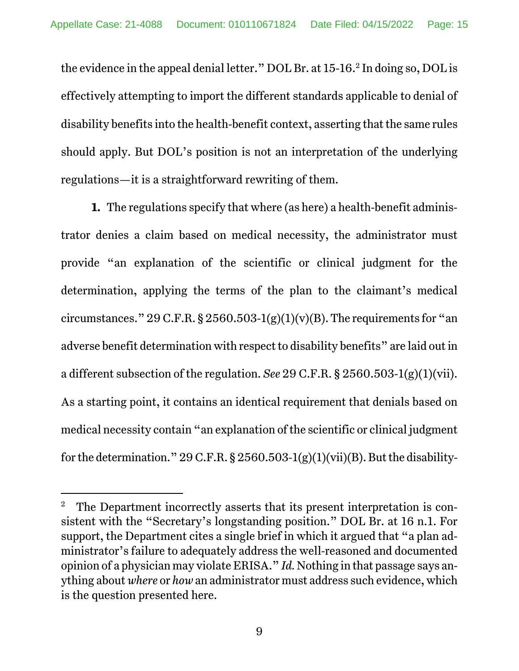the evidence in the appeal denial letter."  $\rm DOL$  Br. at  $15$ -16. $^2$  In doing so,  $\rm DOL$  is effectively attempting to import the different standards applicable to denial of disability benefits into the health-benefit context, asserting that the same rules should apply. But DOL's position is not an interpretation of the underlying regulations—it is a straightforward rewriting of them.

**1.** The regulations specify that where (as here) a health-benefit administrator denies a claim based on medical necessity, the administrator must provide "an explanation of the scientific or clinical judgment for the determination, applying the terms of the plan to the claimant's medical circumstances." 29 C.F.R. § 2560.503-1(g)(1)(y)(B). The requirements for "an adverse benefit determination with respect to disability benefits" are laid out in a different subsection of the regulation. *See* 29 C.F.R. § 2560.503-1(g)(1)(vii). As a starting point, it contains an identical requirement that denials based on medical necessity contain "an explanation of the scientific or clinical judgment for the determination." 29 C.F.R.  $\S 2560.503-1(g)(1)(vi)(B)$ . But the disability-

<sup>2</sup> The Department incorrectly asserts that its present interpretation is consistent with the "Secretary's longstanding position." DOL Br. at 16 n.1. For support, the Department cites a single brief in which it argued that "a plan administrator's failure to adequately address the well-reasoned and documented opinion of a physician may violate ERISA." *Id.* Nothing in that passage says anything about *where* or *how* an administrator must address such evidence, which is the question presented here.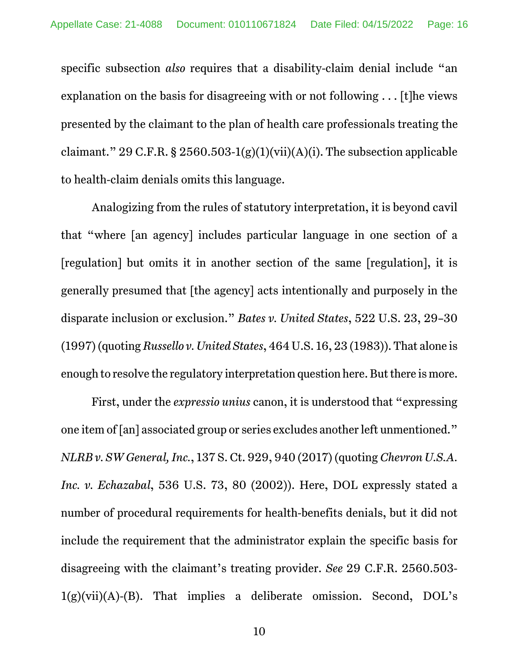specific subsection *also* requires that a disability-claim denial include "an explanation on the basis for disagreeing with or not following . . . [t]he views presented by the claimant to the plan of health care professionals treating the claimant." 29 C.F.R. § 2560.503-1(g)(1)(vii)(A)(i). The subsection applicable to health-claim denials omits this language.

Analogizing from the rules of statutory interpretation, it is beyond cavil that "where [an agency] includes particular language in one section of a [regulation] but omits it in another section of the same [regulation], it is generally presumed that [the agency] acts intentionally and purposely in the disparate inclusion or exclusion." *Bates v. United States*, 522 U.S. 23, 29–30 (1997) (quoting *Russello v. United States*, 464 U.S. 16, 23 (1983)). That alone is enough to resolve the regulatory interpretation question here. But there is more.

First, under the *expressio unius* canon, it is understood that "expressing one item of [an] associated group or series excludes another left unmentioned." *NLRB v. SW General, Inc.*, 137 S. Ct. 929, 940 (2017) (quoting *Chevron U.S.A. Inc. v. Echazabal*, 536 U.S. 73, 80 (2002)). Here, DOL expressly stated a number of procedural requirements for health-benefits denials, but it did not include the requirement that the administrator explain the specific basis for disagreeing with the claimant's treating provider. *See* 29 C.F.R. 2560.503-  $1(g)(vii)(A)-(B)$ . That implies a deliberate omission. Second, DOL's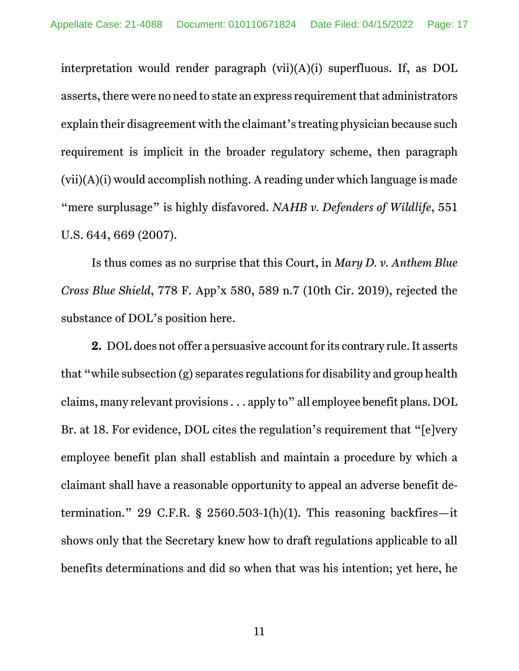interpretation would render paragraph (vii)(A)(i) superfluous. If, as DOL asserts, there were no need to state an express requirement that administrators explain their disagreement with the claimant's treating physician because such requirement is implicit in the broader regulatory scheme, then paragraph (vii)(A)(i) would accomplish nothing. A reading under which language is made "mere surplusage" is highly disfavored. *NAHB v. Defenders of Wildlife*, 551 U.S. 644, 669 (2007).

Is thus comes as no surprise that this Court, in *Mary D. v. Anthem Blue Cross Blue Shield*, 778 F. App'x 580, 589 n.7 (10th Cir. 2019), rejected the substance of DOL's position here.

**2.** DOL does not offer a persuasive account for its contrary rule. It asserts that "while subsection (g) separates regulations for disability and group health claims, many relevant provisions . . . apply to" all employee benefit plans. DOL Br. at 18. For evidence, DOL cites the regulation's requirement that "[e]very employee benefit plan shall establish and maintain a procedure by which a claimant shall have a reasonable opportunity to appeal an adverse benefit determination." 29 C.F.R. § 2560.503-1(h)(1). This reasoning backfires—it shows only that the Secretary knew how to draft regulations applicable to all benefits determinations and did so when that was his intention; yet here, he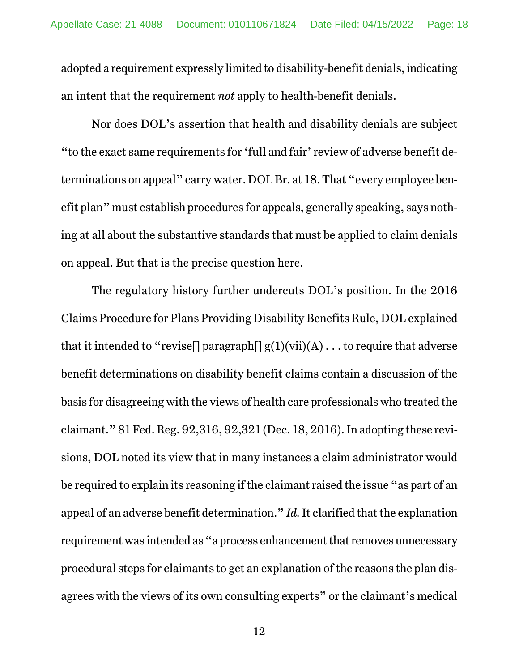adopted a requirement expressly limited to disability-benefit denials, indicating an intent that the requirement *not* apply to health-benefit denials.

Nor does DOL's assertion that health and disability denials are subject "to the exact same requirements for 'full and fair' review of adverse benefit determinations on appeal" carry water. DOL Br. at 18. That "every employee benefit plan" must establish procedures for appeals, generally speaking, says nothing at all about the substantive standards that must be applied to claim denials on appeal. But that is the precise question here.

The regulatory history further undercuts DOL's position. In the 2016 Claims Procedure for Plans Providing Disability Benefits Rule, DOL explained that it intended to "revise<sup>[]</sup> paragraph<sup>[]</sup>  $g(1)(vii)(A) \dots$  to require that adverse benefit determinations on disability benefit claims contain a discussion of the basis for disagreeing with the views of health care professionals who treated the claimant." 81 Fed. Reg. 92,316, 92,321 (Dec. 18, 2016). In adopting these revisions, DOL noted its view that in many instances a claim administrator would be required to explain its reasoning if the claimant raised the issue "as part of an appeal of an adverse benefit determination." *Id.* It clarified that the explanation requirement was intended as "a process enhancement that removes unnecessary procedural steps for claimants to get an explanation of the reasons the plan disagrees with the views of its own consulting experts" or the claimant's medical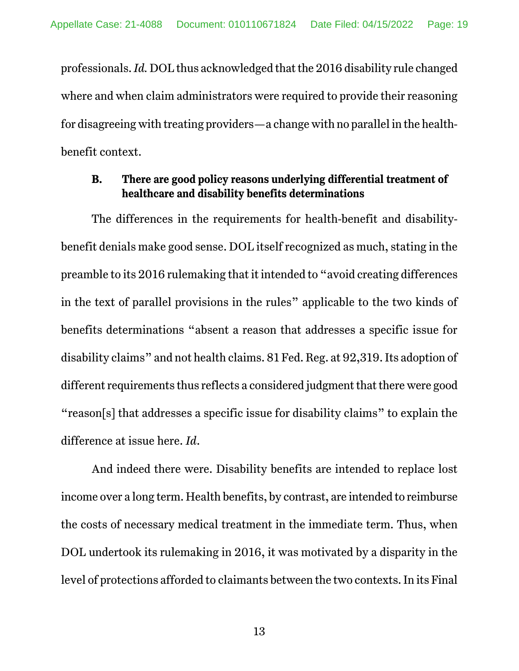professionals. *Id.* DOL thus acknowledged that the 2016 disability rule changed where and when claim administrators were required to provide their reasoning for disagreeing with treating providers—a change with no parallel in the healthbenefit context.

### **B. There are good policy reasons underlying differential treatment of healthcare and disability benefits determinations**

The differences in the requirements for health-benefit and disabilitybenefit denials make good sense. DOL itself recognized as much, stating in the preamble to its 2016 rulemaking that it intended to "avoid creating differences in the text of parallel provisions in the rules" applicable to the two kinds of benefits determinations "absent a reason that addresses a specific issue for disability claims" and not health claims. 81 Fed. Reg. at 92,319. Its adoption of different requirements thus reflects a considered judgment that there were good "reason[s] that addresses a specific issue for disability claims" to explain the difference at issue here. *Id*.

And indeed there were. Disability benefits are intended to replace lost income over a long term. Health benefits, by contrast, are intended to reimburse the costs of necessary medical treatment in the immediate term. Thus, when DOL undertook its rulemaking in 2016, it was motivated by a disparity in the level of protections afforded to claimants between the two contexts. In its Final

13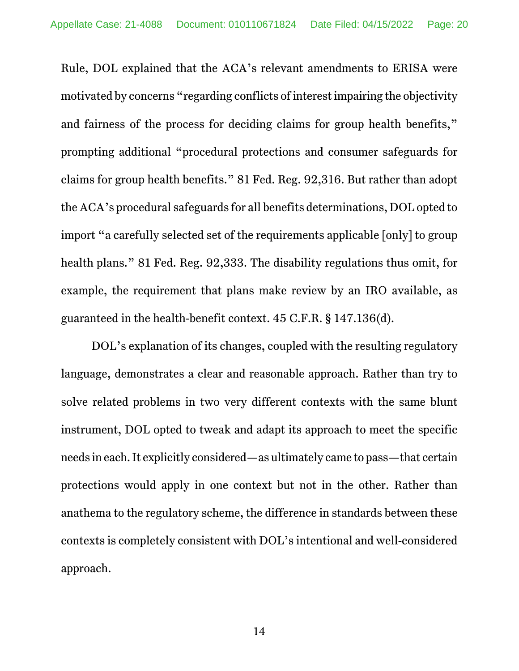Rule, DOL explained that the ACA's relevant amendments to ERISA were motivated by concerns "regarding conflicts of interest impairing the objectivity and fairness of the process for deciding claims for group health benefits," prompting additional "procedural protections and consumer safeguards for claims for group health benefits." 81 Fed. Reg. 92,316. But rather than adopt the ACA's procedural safeguards for all benefits determinations, DOL opted to import "a carefully selected set of the requirements applicable [only] to group health plans." 81 Fed. Reg. 92,333. The disability regulations thus omit, for example, the requirement that plans make review by an IRO available, as guaranteed in the health-benefit context. 45 C.F.R. § 147.136(d).

DOL's explanation of its changes, coupled with the resulting regulatory language, demonstrates a clear and reasonable approach. Rather than try to solve related problems in two very different contexts with the same blunt instrument, DOL opted to tweak and adapt its approach to meet the specific needs in each. It explicitly considered—as ultimately came to pass—that certain protections would apply in one context but not in the other. Rather than anathema to the regulatory scheme, the difference in standards between these contexts is completely consistent with DOL's intentional and well-considered approach.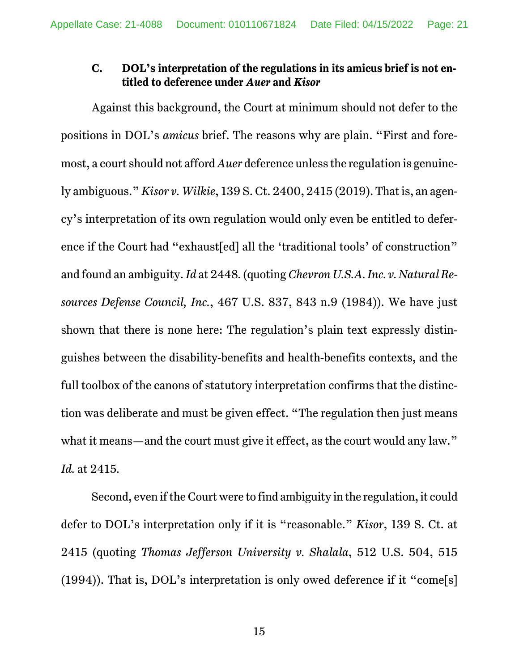## **C. DOL's interpretation of the regulations in its amicus brief is not entitled to deference under** *Auer* **and** *Kisor*

Against this background, the Court at minimum should not defer to the positions in DOL's *amicus* brief. The reasons why are plain. "First and foremost, a court should not afford *Auer* deference unless the regulation is genuinely ambiguous." *Kisor v. Wilkie*, 139 S. Ct. 2400, 2415 (2019). That is, an agency's interpretation of its own regulation would only even be entitled to deference if the Court had "exhaust[ed] all the 'traditional tools' of construction" and found an ambiguity. *Id* at 2448*.* (quoting *Chevron U.S.A. Inc. v. Natural Resources Defense Council, Inc.*, 467 U.S. 837, 843 n.9 (1984)). We have just shown that there is none here: The regulation's plain text expressly distinguishes between the disability-benefits and health-benefits contexts, and the full toolbox of the canons of statutory interpretation confirms that the distinction was deliberate and must be given effect. "The regulation then just means what it means—and the court must give it effect, as the court would any law." *Id.* at 2415*.*

Second, even if the Court were to find ambiguity in the regulation, it could defer to DOL's interpretation only if it is "reasonable." *Kisor*, 139 S. Ct. at 2415 (quoting *Thomas Jefferson University v. Shalala*, 512 U.S. 504, 515 (1994)). That is, DOL's interpretation is only owed deference if it "come[s]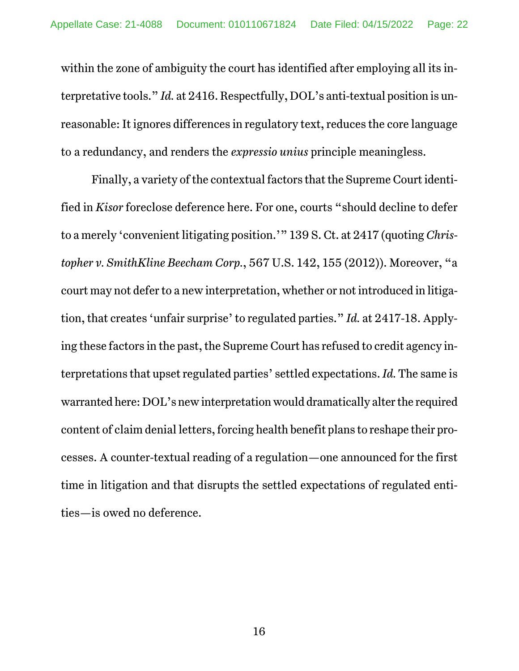within the zone of ambiguity the court has identified after employing all its interpretative tools." *Id.* at 2416. Respectfully, DOL's anti-textual position is unreasonable: It ignores differences in regulatory text, reduces the core language to a redundancy, and renders the *expressio unius* principle meaningless.

Finally, a variety of the contextual factors that the Supreme Court identified in *Kisor* foreclose deference here. For one, courts "should decline to defer to a merely 'convenient litigating position.'" 139 S. Ct. at 2417 (quoting *Christopher v. SmithKline Beecham Corp.*, 567 U.S. 142, 155 (2012)). Moreover, "a court may not defer to a new interpretation, whether or not introduced in litigation, that creates 'unfair surprise' to regulated parties." *Id.* at 2417-18. Applying these factors in the past, the Supreme Court has refused to credit agency interpretations that upset regulated parties' settled expectations. *Id.* The same is warranted here: DOL's new interpretation would dramatically alter the required content of claim denial letters, forcing health benefit plans to reshape their processes. A counter-textual reading of a regulation—one announced for the first time in litigation and that disrupts the settled expectations of regulated entities—is owed no deference.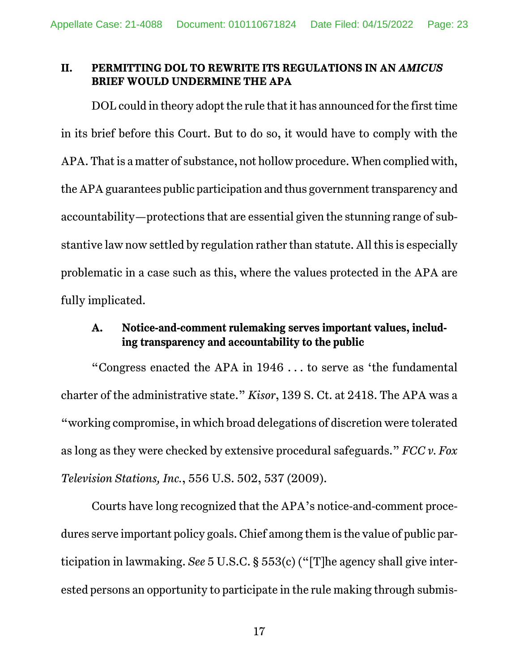#### **II. PERMITTING DOL TO REWRITE ITS REGULATIONS IN AN** *AMICUS* **BRIEF WOULD UNDERMINE THE APA**

DOL could in theory adopt the rule that it has announced for the first time in its brief before this Court. But to do so, it would have to comply with the APA. That is a matter of substance, not hollow procedure. When complied with, the APA guarantees public participation and thus government transparency and accountability—protections that are essential given the stunning range of substantive law now settled by regulation rather than statute. All this is especially problematic in a case such as this, where the values protected in the APA are fully implicated.

## **A. Notice-and-comment rulemaking serves important values, including transparency and accountability to the public**

"Congress enacted the APA in 1946 . . . to serve as 'the fundamental charter of the administrative state." *Kisor*, 139 S. Ct. at 2418. The APA was a "working compromise, in which broad delegations of discretion were tolerated as long as they were checked by extensive procedural safeguards." *FCC v. Fox Television Stations, Inc.*, 556 U.S. 502, 537 (2009).

Courts have long recognized that the APA's notice-and-comment procedures serve important policy goals. Chief among them is the value of public participation in lawmaking. *See* 5 U.S.C. § 553(c) ("[T]he agency shall give interested persons an opportunity to participate in the rule making through submis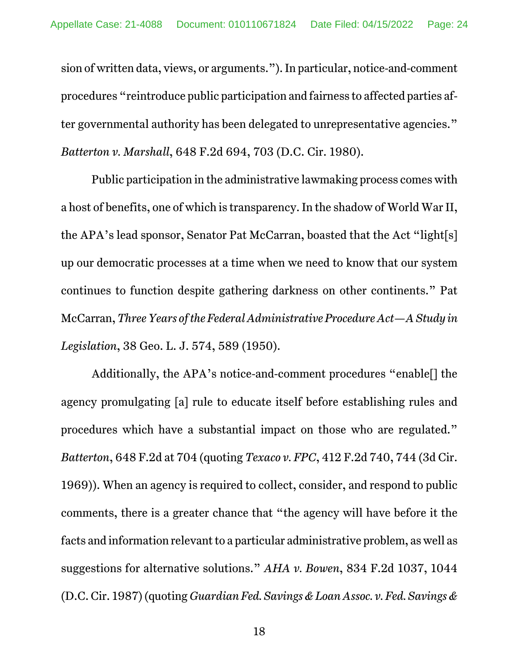sion of written data, views, or arguments."). In particular, notice-and-comment procedures "reintroduce public participation and fairness to affected parties after governmental authority has been delegated to unrepresentative agencies." *Batterton v. Marshall*, 648 F.2d 694, 703 (D.C. Cir. 1980).

Public participation in the administrative lawmaking process comes with a host of benefits, one of which is transparency. In the shadow of World War II, the APA's lead sponsor, Senator Pat McCarran, boasted that the Act "light[s] up our democratic processes at a time when we need to know that our system continues to function despite gathering darkness on other continents." Pat McCarran, *Three Years of the Federal Administrative Procedure Act—A Study in Legislation*, 38 Geo. L. J. 574, 589 (1950).

Additionally, the APA's notice-and-comment procedures "enable[] the agency promulgating [a] rule to educate itself before establishing rules and procedures which have a substantial impact on those who are regulated." *Batterton*, 648 F.2d at 704 (quoting *Texaco v. FPC*, 412 F.2d 740, 744 (3d Cir. 1969)). When an agency is required to collect, consider, and respond to public comments, there is a greater chance that "the agency will have before it the facts and information relevant to a particular administrative problem, as well as suggestions for alternative solutions." *AHA v. Bowen*, 834 F.2d 1037, 1044 (D.C. Cir. 1987) (quoting *Guardian Fed. Savings & Loan Assoc. v. Fed. Savings &*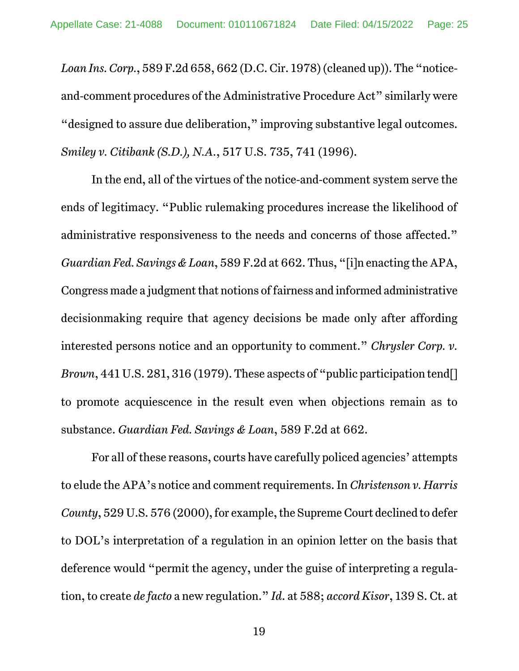*Loan Ins. Corp.*, 589 F.2d 658, 662 (D.C. Cir. 1978) (cleaned up)). The "noticeand-comment procedures of the Administrative Procedure Act" similarly were "designed to assure due deliberation," improving substantive legal outcomes. *Smiley v. Citibank (S.D.), N.A.*, 517 U.S. 735, 741 (1996).

In the end, all of the virtues of the notice-and-comment system serve the ends of legitimacy. "Public rulemaking procedures increase the likelihood of administrative responsiveness to the needs and concerns of those affected." *Guardian Fed. Savings & Loan*, 589 F.2d at 662. Thus, "[i]n enacting the APA, Congress made a judgment that notions of fairness and informed administrative decisionmaking require that agency decisions be made only after affording interested persons notice and an opportunity to comment." *Chrysler Corp. v. Brown*, 441 U.S. 281, 316 (1979). These aspects of "public participation tend[] to promote acquiescence in the result even when objections remain as to substance. *Guardian Fed. Savings & Loan*, 589 F.2d at 662.

For all of these reasons, courts have carefully policed agencies' attempts to elude the APA's notice and comment requirements. In *Christenson v. Harris County*, 529 U.S. 576 (2000), for example, the Supreme Court declined to defer to DOL's interpretation of a regulation in an opinion letter on the basis that deference would "permit the agency, under the guise of interpreting a regulation, to create *de facto* a new regulation." *Id*. at 588; *accord Kisor*, 139 S. Ct. at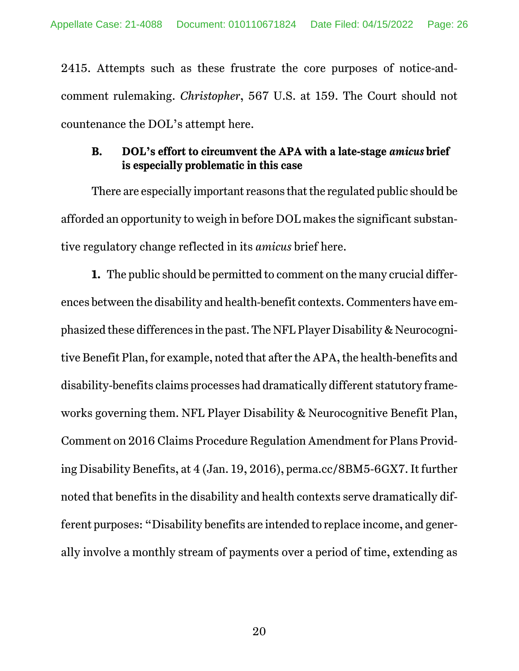2415. Attempts such as these frustrate the core purposes of notice-andcomment rulemaking. *Christopher*, 567 U.S. at 159. The Court should not countenance the DOL's attempt here.

## **B. DOL's effort to circumvent the APA with a late-stage** *amicus* **brief is especially problematic in this case**

There are especially important reasons that the regulated public should be afforded an opportunity to weigh in before DOL makes the significant substantive regulatory change reflected in its *amicus* brief here.

**1.** The public should be permitted to comment on the many crucial differences between the disability and health-benefit contexts. Commenters have emphasized these differences in the past. The NFL Player Disability & Neurocognitive Benefit Plan, for example, noted that after the APA, the health-benefits and disability-benefits claims processes had dramatically different statutory frameworks governing them. NFL Player Disability & Neurocognitive Benefit Plan, Comment on 2016 Claims Procedure Regulation Amendment for Plans Providing Disability Benefits, at 4 (Jan. 19, 2016), perma.cc/8BM5-6GX7. It further noted that benefits in the disability and health contexts serve dramatically different purposes: "Disability benefits are intended to replace income, and generally involve a monthly stream of payments over a period of time, extending as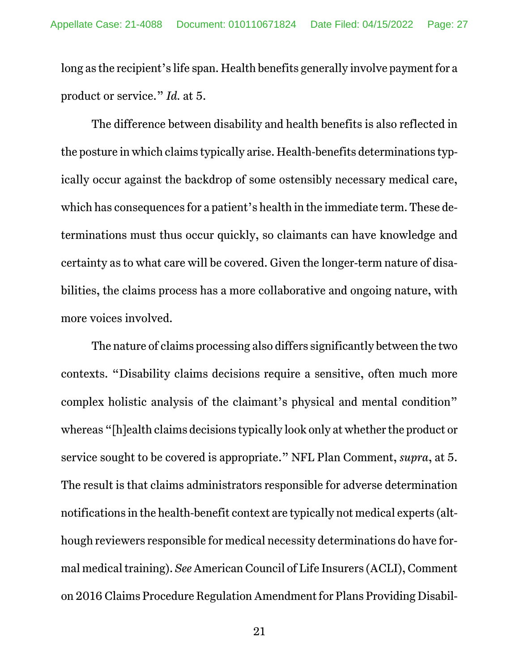long as the recipient's life span. Health benefits generally involve payment for a product or service." *Id.* at 5.

The difference between disability and health benefits is also reflected in the posture in which claims typically arise. Health-benefits determinations typically occur against the backdrop of some ostensibly necessary medical care, which has consequences for a patient's health in the immediate term. These determinations must thus occur quickly, so claimants can have knowledge and certainty as to what care will be covered. Given the longer-term nature of disabilities, the claims process has a more collaborative and ongoing nature, with more voices involved.

The nature of claims processing also differs significantly between the two contexts. "Disability claims decisions require a sensitive, often much more complex holistic analysis of the claimant's physical and mental condition" whereas "[h]ealth claims decisions typically look only at whether the product or service sought to be covered is appropriate." NFL Plan Comment, *supra*, at 5. The result is that claims administrators responsible for adverse determination notifications in the health-benefit context are typically not medical experts (although reviewers responsible for medical necessity determinations do have formal medical training). *See* American Council of Life Insurers (ACLI), Comment on 2016 Claims Procedure Regulation Amendment for Plans Providing Disabil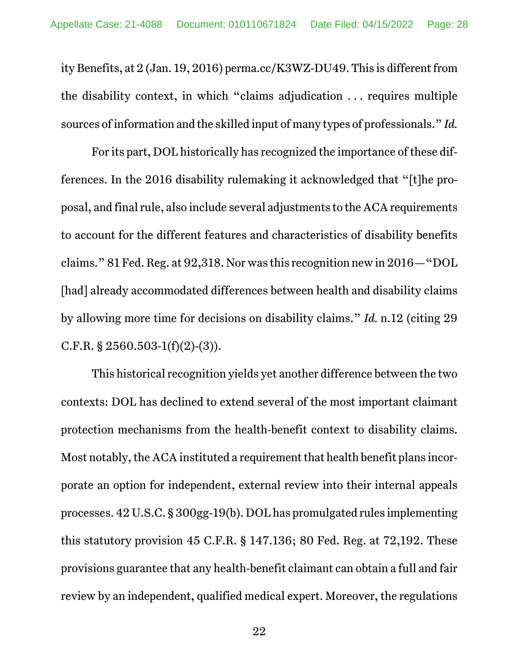ity Benefits, at 2 (Jan. 19, 2016) perma.cc/K3WZ-DU49. This is different from the disability context, in which "claims adjudication . . . requires multiple sources of information and the skilled input of many types of professionals." *Id.*

For its part, DOL historically has recognized the importance of these differences. In the 2016 disability rulemaking it acknowledged that "[t]he proposal, and final rule, also include several adjustments to the ACA requirements to account for the different features and characteristics of disability benefits claims." 81 Fed. Reg. at 92,318. Nor was this recognition new in 2016—"DOL [had] already accommodated differences between health and disability claims by allowing more time for decisions on disability claims." *Id.* n.12 (citing 29 C.F.R. § 2560.503-1(f)(2)-(3)).

This historical recognition yields yet another difference between the two contexts: DOL has declined to extend several of the most important claimant protection mechanisms from the health-benefit context to disability claims. Most notably, the ACA instituted a requirement that health benefit plans incorporate an option for independent, external review into their internal appeals processes. 42 U.S.C. § 300gg-19(b). DOL has promulgated rules implementing this statutory provision 45 C.F.R. § 147.136; 80 Fed. Reg. at 72,192. These provisions guarantee that any health-benefit claimant can obtain a full and fair review by an independent, qualified medical expert. Moreover, the regulations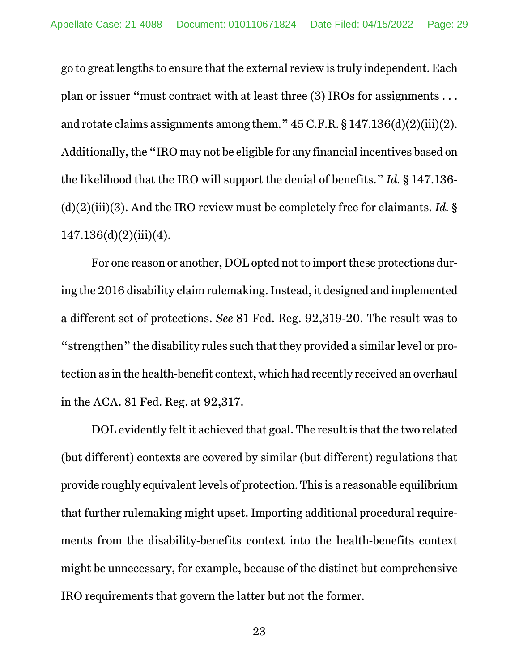go to great lengths to ensure that the external review is truly independent. Each plan or issuer "must contract with at least three (3) IROs for assignments . . . and rotate claims assignments among them." 45 C.F.R. § 147.136(d)(2)(iii)(2). Additionally, the "IRO may not be eligible for any financial incentives based on the likelihood that the IRO will support the denial of benefits." *Id.* § 147.136- (d)(2)(iii)(3). And the IRO review must be completely free for claimants. *Id.* § 147.136(d)(2)(iii)(4).

For one reason or another, DOL opted not to import these protections during the 2016 disability claim rulemaking. Instead, it designed and implemented a different set of protections. *See* 81 Fed. Reg. 92,319-20. The result was to "strengthen" the disability rules such that they provided a similar level or protection as in the health-benefit context, which had recently received an overhaul in the ACA. 81 Fed. Reg. at 92,317.

DOL evidently felt it achieved that goal. The result is that the two related (but different) contexts are covered by similar (but different) regulations that provide roughly equivalent levels of protection. This is a reasonable equilibrium that further rulemaking might upset. Importing additional procedural requirements from the disability-benefits context into the health-benefits context might be unnecessary, for example, because of the distinct but comprehensive IRO requirements that govern the latter but not the former.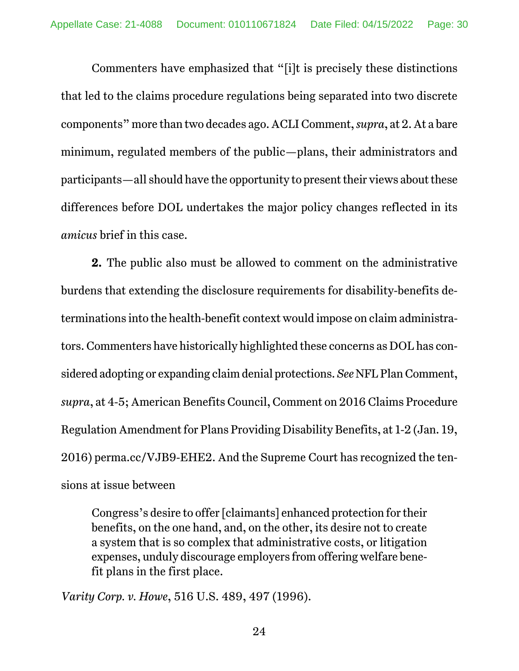Commenters have emphasized that "[i]t is precisely these distinctions that led to the claims procedure regulations being separated into two discrete components" more than two decades ago. ACLI Comment, *supra*, at 2. At a bare minimum, regulated members of the public—plans, their administrators and participants—all should have the opportunity to present their views about these differences before DOL undertakes the major policy changes reflected in its *amicus* brief in this case.

**2.** The public also must be allowed to comment on the administrative burdens that extending the disclosure requirements for disability-benefits determinations into the health-benefit context would impose on claim administrators. Commenters have historically highlighted these concerns as DOL has considered adopting or expanding claim denial protections. *See* NFL Plan Comment, *supra*, at 4-5; American Benefits Council, Comment on 2016 Claims Procedure Regulation Amendment for Plans Providing Disability Benefits, at 1-2 (Jan. 19, 2016) perma.cc/VJB9-EHE2. And the Supreme Court has recognized the tensions at issue between

Congress's desire to offer [claimants] enhanced protection for their benefits, on the one hand, and, on the other, its desire not to create a system that is so complex that administrative costs, or litigation expenses, unduly discourage employers from offering welfare benefit plans in the first place.

*Varity Corp. v. Howe*, 516 U.S. 489, 497 (1996).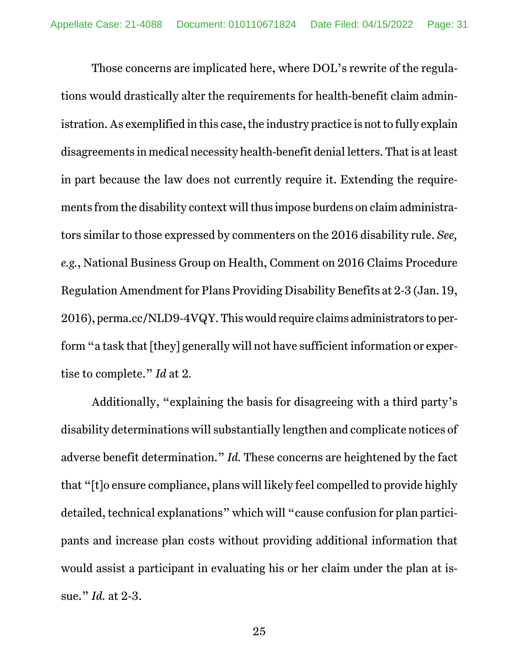Those concerns are implicated here, where DOL's rewrite of the regulations would drastically alter the requirements for health-benefit claim administration. As exemplified in this case, the industry practice is not to fully explain disagreements in medical necessity health-benefit denial letters. That is at least in part because the law does not currently require it. Extending the requirements from the disability context will thus impose burdens on claim administrators similar to those expressed by commenters on the 2016 disability rule. *See, e.g.*, National Business Group on Health, Comment on 2016 Claims Procedure Regulation Amendment for Plans Providing Disability Benefits at 2-3 (Jan. 19, 2016), perma.cc/NLD9-4VQY. This would require claims administrators to perform "a task that [they] generally will not have sufficient information or expertise to complete." *Id* at 2*.*

Additionally, "explaining the basis for disagreeing with a third party's disability determinations will substantially lengthen and complicate notices of adverse benefit determination." *Id.* These concerns are heightened by the fact that "[t]o ensure compliance, plans will likely feel compelled to provide highly detailed, technical explanations" which will "cause confusion for plan participants and increase plan costs without providing additional information that would assist a participant in evaluating his or her claim under the plan at issue." *Id.* at 2-3.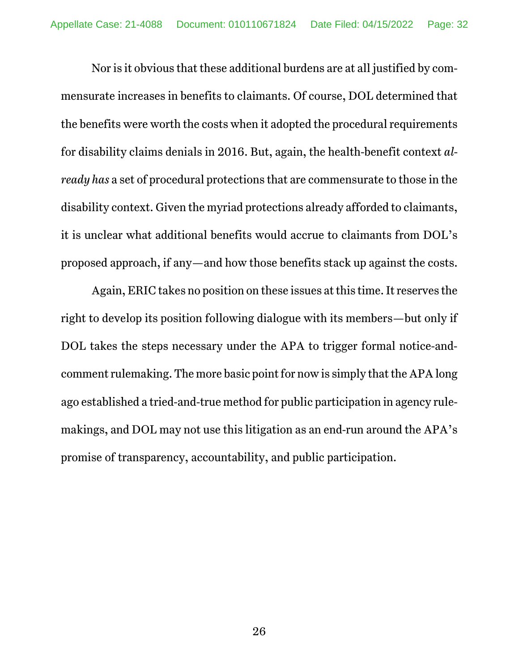Nor is it obvious that these additional burdens are at all justified by commensurate increases in benefits to claimants. Of course, DOL determined that the benefits were worth the costs when it adopted the procedural requirements for disability claims denials in 2016. But, again, the health-benefit context *already has* a set of procedural protections that are commensurate to those in the disability context. Given the myriad protections already afforded to claimants, it is unclear what additional benefits would accrue to claimants from DOL's proposed approach, if any—and how those benefits stack up against the costs.

Again, ERIC takes no position on these issues at this time. It reserves the right to develop its position following dialogue with its members—but only if DOL takes the steps necessary under the APA to trigger formal notice-andcomment rulemaking. The more basic point for now is simply that the APA long ago established a tried-and-true method for public participation in agency rulemakings, and DOL may not use this litigation as an end-run around the APA's promise of transparency, accountability, and public participation.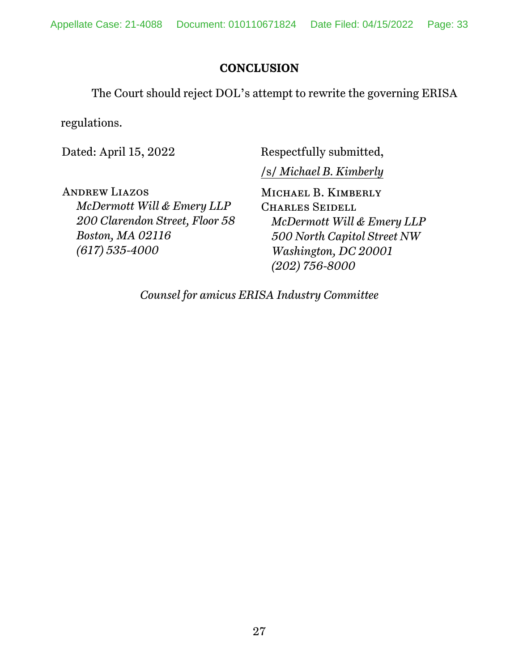## **CONCLUSION**

The Court should reject DOL's attempt to rewrite the governing ERISA

regulations.

Dated: April 15, 2022

Respectfully submitted,

/s/ *Michael B. Kimberly*

Andrew Liazos *McDermott Will & Emery LLP 200 Clarendon Street, Floor 58 Boston, MA 02116 (617) 535-4000* 

Michael B. Kimberly Charles Seidell *McDermott Will & Emery LLP 500 North Capitol Street NW Washington, DC 20001 (202) 756-8000* 

*Counsel for amicus ERISA Industry Committee*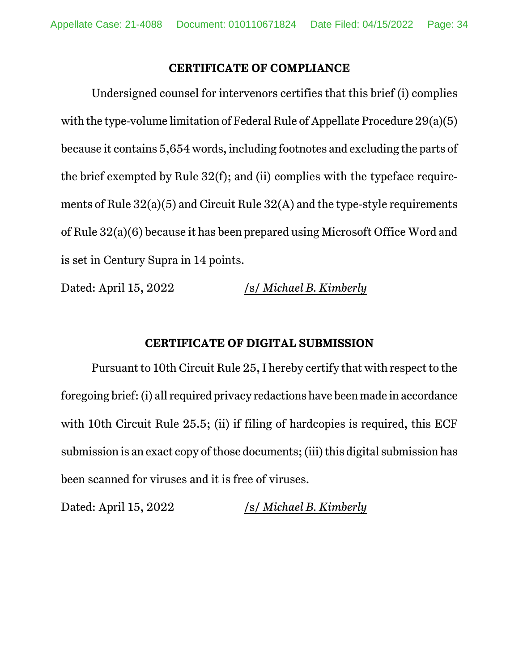#### **CERTIFICATE OF COMPLIANCE**

Undersigned counsel for intervenors certifies that this brief (i) complies with the type-volume limitation of Federal Rule of Appellate Procedure 29(a)(5) because it contains 5,654 words, including footnotes and excluding the parts of the brief exempted by Rule 32(f); and (ii) complies with the typeface requirements of Rule 32(a)(5) and Circuit Rule 32(A) and the type-style requirements of Rule 32(a)(6) because it has been prepared using Microsoft Office Word and is set in Century Supra in 14 points.

Dated: April 15, 2022 /s/ *Michael B. Kimberly* 

#### **CERTIFICATE OF DIGITAL SUBMISSION**

Pursuant to 10th Circuit Rule 25, I hereby certify that with respect to the foregoing brief: (i) all required privacy redactions have been made in accordance with 10th Circuit Rule 25.5; (ii) if filing of hardcopies is required, this ECF submission is an exact copy of those documents; (iii) this digital submission has been scanned for viruses and it is free of viruses.

Dated: April 15, 2022 /s/ *Michael B. Kimberly*